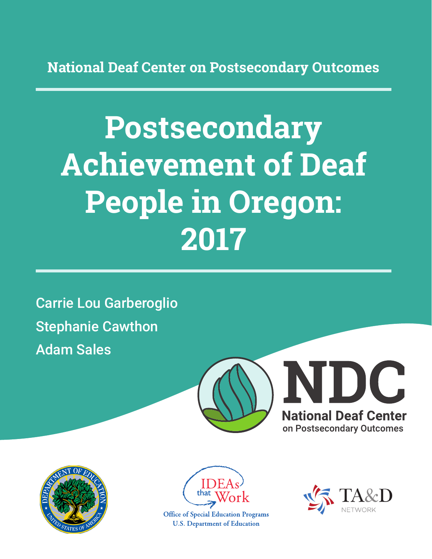**National Deaf Center on Postsecondary Outcomes**

# **Postsecondary Achievement of Deaf People in Oregon: 2017**

Carrie Lou Garberoglio Stephanie Cawthon Adam Sales







**Office of Special Education Programs U.S. Department of Education** 

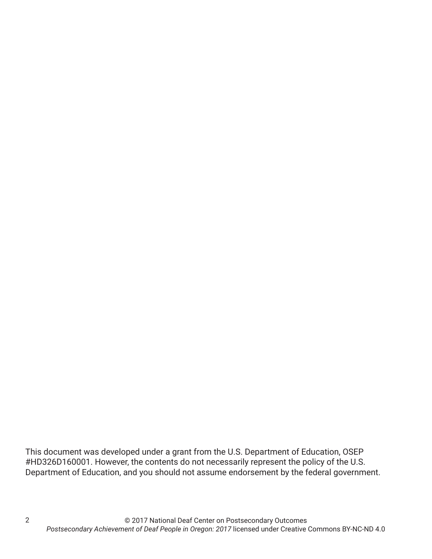This document was developed under a grant from the U.S. Department of Education, OSEP #HD326D160001. However, the contents do not necessarily represent the policy of the U.S. Department of Education, and you should not assume endorsement by the federal government.

2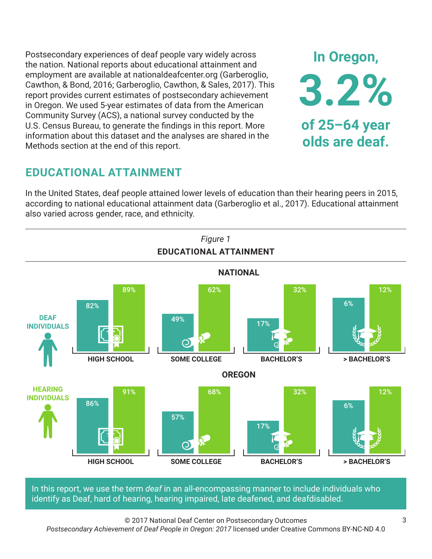Postsecondary experiences of deaf people vary widely across the nation. National reports about educational attainment and employment are available at nationaldeafcenter.org (Garberoglio, Cawthon, & Bond, 2016; Garberoglio, Cawthon, & Sales, 2017). This report provides current estimates of postsecondary achievement in Oregon. We used 5-year estimates of data from the American Community Survey (ACS), a national survey conducted by the U.S. Census Bureau, to generate the findings in this report. More information about this dataset and the analyses are shared in the Methods section at the end of this report.

# **EDUCATIONAL ATTAINMENT**

In the United States, deaf people attained lower levels of education than their hearing peers in 2015, according to national educational attainment data (Garberoglio et al., 2017). Educational attainment also varied across gender, race, and ethnicity.



In this report, we use the term *deaf* in an all-encompassing manner to include individuals who identify as Deaf, hard of hearing, hearing impaired, late deafened, and deafdisabled.

© 2017 National Deaf Center on Postsecondary Outcomes *Postsecondary Achievement of Deaf People in Oregon: 2017* licensed under Creative Commons BY-NC-ND 4.0

**In Oregon,**

**3.2%**

**of 25–64 year**

**olds are deaf.**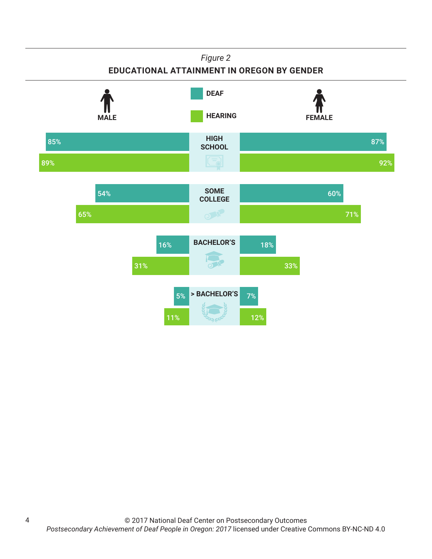## *Figure 2*

## **EDUCATIONAL ATTAINMENT IN OREGON BY GENDER**



4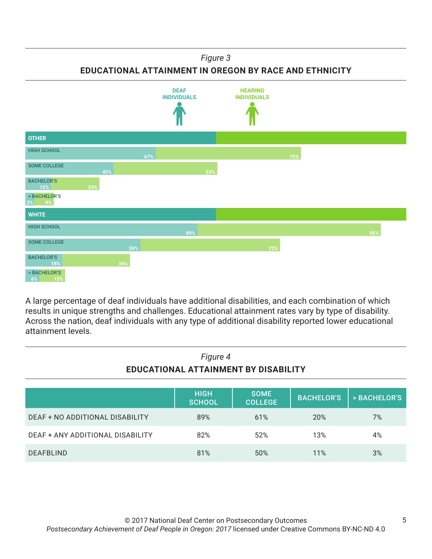### *Figure 3*

**EDUCATIONAL ATTAINMENT IN OREGON BY RACE AND ETHNICITY**



A large percentage of deaf individuals have additional disabilities, and each combination of which results in unique strengths and challenges. Educational attainment rates vary by type of disability. Across the nation, deaf individuals with any type of additional disability reported lower educational attainment levels.

| Figure 4<br><b>EDUCATIONAL ATTAINMENT BY DISABILITY</b> |                              |                               |                   |              |
|---------------------------------------------------------|------------------------------|-------------------------------|-------------------|--------------|
|                                                         | <b>HIGH</b><br><b>SCHOOL</b> | <b>SOME</b><br><b>COLLEGE</b> | <b>BACHELOR'S</b> | > BACHELOR'S |
| DEAF + NO ADDITIONAL DISABILITY                         | 89%                          | 61%                           | 20%               | 7%           |
| DEAF + ANY ADDITIONAL DISABILITY                        | 82%                          | 52%                           | 13%               | 4%           |
| <b>DEAFBLIND</b>                                        | 81%                          | 50%                           | 11%               | 3%           |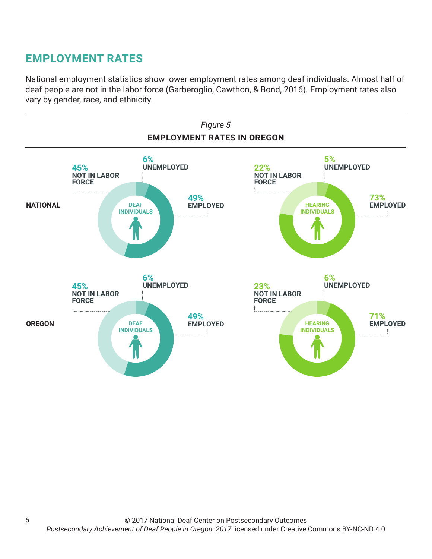# **EMPLOYMENT RATES**

6

National employment statistics show lower employment rates among deaf individuals. Almost half of deaf people are not in the labor force (Garberoglio, Cawthon, & Bond, 2016). Employment rates also vary by gender, race, and ethnicity.

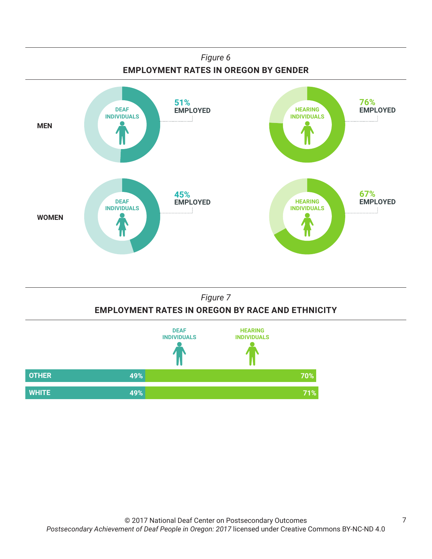



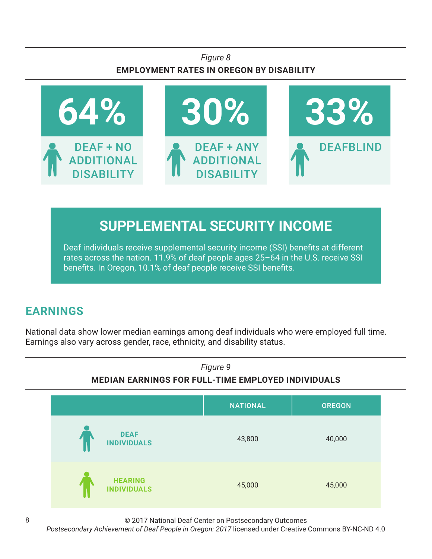## *Figure 8* **EMPLOYMENT RATES IN OREGON BY DISABILITY**



# **SUPPLEMENTAL SECURITY INCOME**

Deaf individuals receive supplemental security income (SSI) benefits at different rates across the nation. 11.9% of deaf people ages 25–64 in the U.S. receive SSI benefits. In Oregon, 10.1% of deaf people receive SSI benefits.

# **EARNINGS**

National data show lower median earnings among deaf individuals who were employed full time. Earnings also vary across gender, race, ethnicity, and disability status.



© 2017 National Deaf Center on Postsecondary Outcomes

*Postsecondary Achievement of Deaf People in Oregon: 2017* licensed under Creative Commons BY-NC-ND 4.0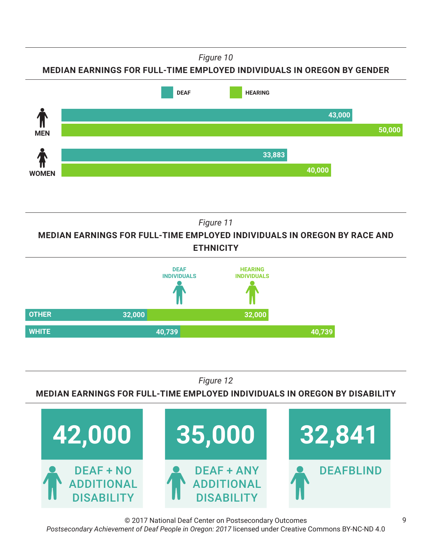*Figure 10*

**MEDIAN EARNINGS FOR FULL-TIME EMPLOYED INDIVIDUALS IN OREGON BY GENDER**



*Figure 11*

**MEDIAN EARNINGS FOR FULL-TIME EMPLOYED INDIVIDUALS IN OREGON BY RACE AND ETHNICITY**



*Figure 12*

**MEDIAN EARNINGS FOR FULL-TIME EMPLOYED INDIVIDUALS IN OREGON BY DISABILITY**



© 2017 National Deaf Center on Postsecondary Outcomes *Postsecondary Achievement of Deaf People in Oregon: 2017* licensed under Creative Commons BY-NC-ND 4.0